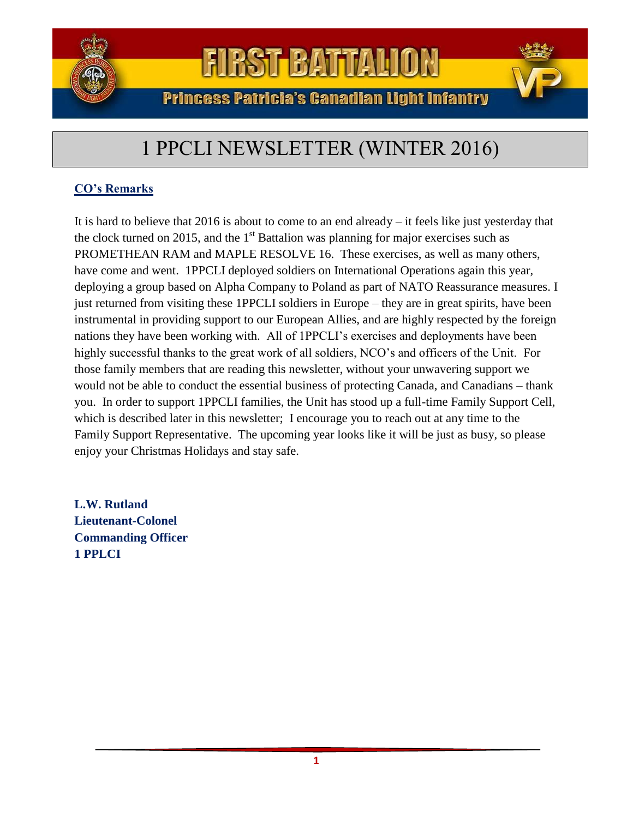

### **Princess Patricia's Canadian Light Infantry**

### 1 PPCLI NEWSLETTER (WINTER 2016)

### **CO's Remarks**

It is hard to believe that 2016 is about to come to an end already – it feels like just yesterday that the clock turned on 2015, and the  $1<sup>st</sup>$  Battalion was planning for major exercises such as PROMETHEAN RAM and MAPLE RESOLVE 16. These exercises, as well as many others, have come and went. 1PPCLI deployed soldiers on International Operations again this year, deploying a group based on Alpha Company to Poland as part of NATO Reassurance measures. I just returned from visiting these 1PPCLI soldiers in Europe – they are in great spirits, have been instrumental in providing support to our European Allies, and are highly respected by the foreign nations they have been working with. All of 1PPCLI's exercises and deployments have been highly successful thanks to the great work of all soldiers, NCO's and officers of the Unit. For those family members that are reading this newsletter, without your unwavering support we would not be able to conduct the essential business of protecting Canada, and Canadians – thank you. In order to support 1PPCLI families, the Unit has stood up a full-time Family Support Cell, which is described later in this newsletter; I encourage you to reach out at any time to the Family Support Representative. The upcoming year looks like it will be just as busy, so please enjoy your Christmas Holidays and stay safe.

**L.W. Rutland Lieutenant-Colonel Commanding Officer 1 PPLCI**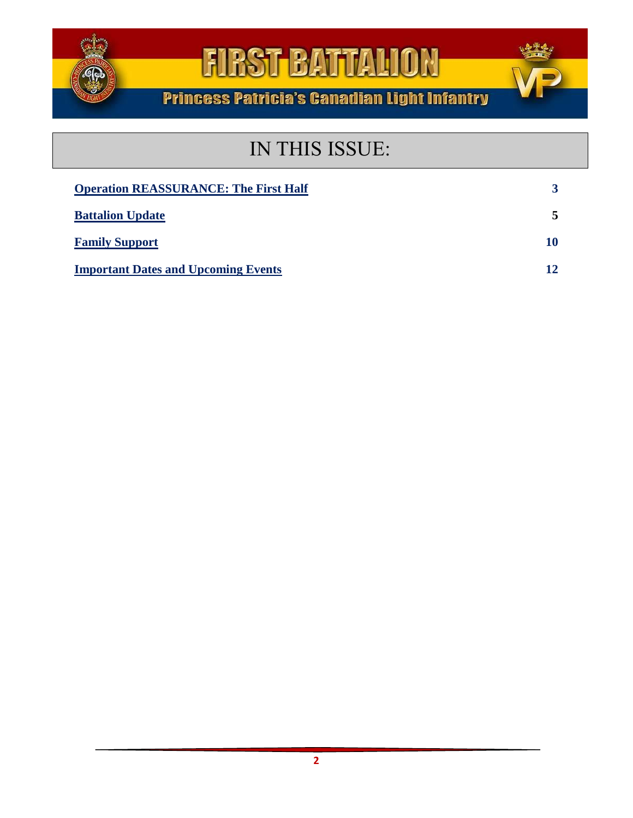

**Princess Patricia's Canadian Light Infantry** 

### IN THIS ISSUE:

| <b>Operation REASSURANCE: The First Half</b> | 3  |
|----------------------------------------------|----|
| <b>Battalion Update</b>                      | 5  |
| <b>Family Support</b>                        | 10 |
| <b>Important Dates and Upcoming Events</b>   | 12 |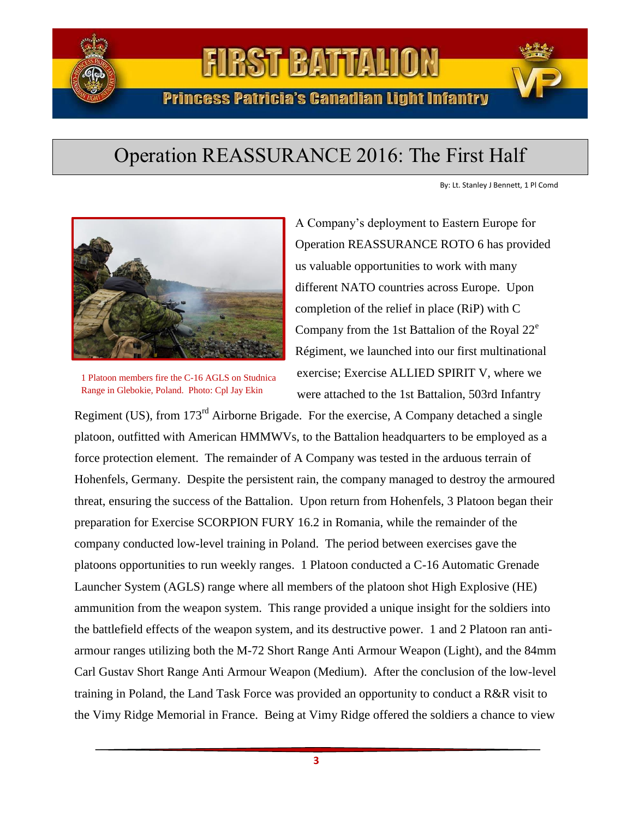

**Princess Patricia's Canadian Light Infantry** 

### Operation REASSURANCE 2016: The First Half

By: Lt. Stanley J Bennett, 1 Pl Comd



1 Platoon members fire the C-16 AGLS on Studnica Range in Glebokie, Poland. Photo: Cpl Jay Ekin

A Company's deployment to Eastern Europe for Operation REASSURANCE ROTO 6 has provided us valuable opportunities to work with many different NATO countries across Europe. Upon completion of the relief in place (RiP) with C Company from the 1st Battalion of the Royal  $22^e$ Régiment, we launched into our first multinational exercise; Exercise ALLIED SPIRIT V, where we were attached to the 1st Battalion, 503rd Infantry

Regiment (US), from 173<sup>rd</sup> Airborne Brigade. For the exercise, A Company detached a single platoon, outfitted with American HMMWVs, to the Battalion headquarters to be employed as a force protection element. The remainder of A Company was tested in the arduous terrain of Hohenfels, Germany. Despite the persistent rain, the company managed to destroy the armoured threat, ensuring the success of the Battalion. Upon return from Hohenfels, 3 Platoon began their preparation for Exercise SCORPION FURY 16.2 in Romania, while the remainder of the company conducted low-level training in Poland. The period between exercises gave the platoons opportunities to run weekly ranges. 1 Platoon conducted a C-16 Automatic Grenade Launcher System (AGLS) range where all members of the platoon shot High Explosive (HE) ammunition from the weapon system. This range provided a unique insight for the soldiers into the battlefield effects of the weapon system, and its destructive power. 1 and 2 Platoon ran antiarmour ranges utilizing both the M-72 Short Range Anti Armour Weapon (Light), and the 84mm Carl Gustav Short Range Anti Armour Weapon (Medium). After the conclusion of the low-level training in Poland, the Land Task Force was provided an opportunity to conduct a R&R visit to the Vimy Ridge Memorial in France. Being at Vimy Ridge offered the soldiers a chance to view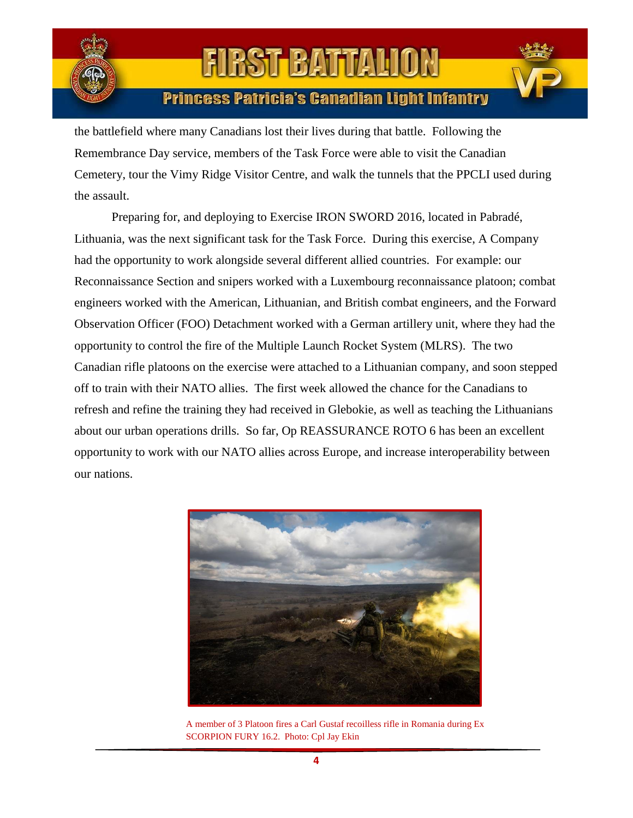

### **Princess Patricia's Canadian Light Infantry**

the battlefield where many Canadians lost their lives during that battle. Following the Remembrance Day service, members of the Task Force were able to visit the Canadian Cemetery, tour the Vimy Ridge Visitor Centre, and walk the tunnels that the PPCLI used during the assault.

Preparing for, and deploying to Exercise IRON SWORD 2016, located in Pabradé, Lithuania, was the next significant task for the Task Force. During this exercise, A Company had the opportunity to work alongside several different allied countries. For example: our Reconnaissance Section and snipers worked with a Luxembourg reconnaissance platoon; combat engineers worked with the American, Lithuanian, and British combat engineers, and the Forward Observation Officer (FOO) Detachment worked with a German artillery unit, where they had the opportunity to control the fire of the Multiple Launch Rocket System (MLRS). The two Canadian rifle platoons on the exercise were attached to a Lithuanian company, and soon stepped off to train with their NATO allies. The first week allowed the chance for the Canadians to refresh and refine the training they had received in Glebokie, as well as teaching the Lithuanians about our urban operations drills. So far, Op REASSURANCE ROTO 6 has been an excellent opportunity to work with our NATO allies across Europe, and increase interoperability between our nations.



A member of 3 Platoon fires a Carl Gustaf recoilless rifle in Romania during Ex SCORPION FURY 16.2. Photo: Cpl Jay Ekin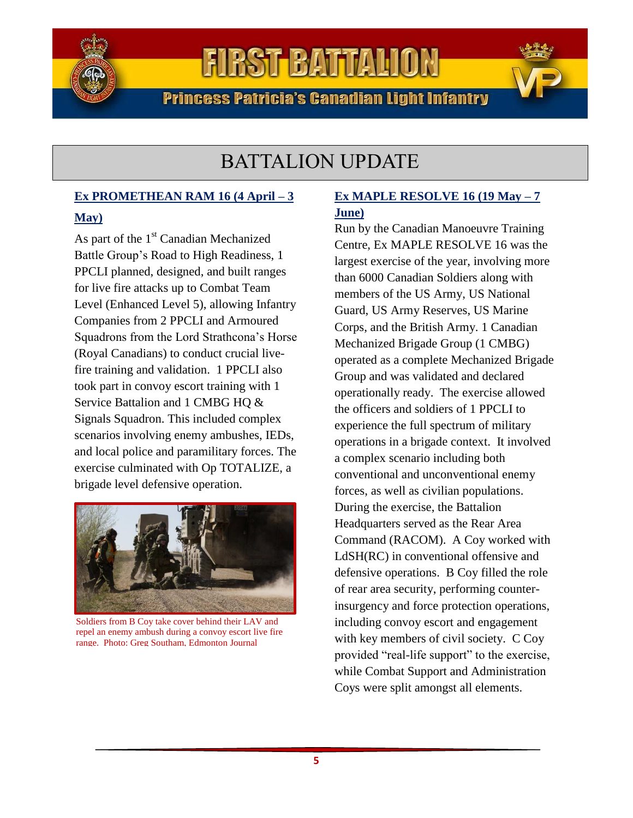

**Princess Patricia's Canadian Light Infantry** 

### BATTALION UPDATE

### **Ex PROMETHEAN RAM 16 (4 April – 3**

### **May)**

As part of the 1<sup>st</sup> Canadian Mechanized Battle Group's Road to High Readiness, 1 PPCLI planned, designed, and built ranges for live fire attacks up to Combat Team Level (Enhanced Level 5), allowing Infantry Companies from 2 PPCLI and Armoured Squadrons from the Lord Strathcona's Horse (Royal Canadians) to conduct crucial livefire training and validation. 1 PPCLI also took part in convoy escort training with 1 Service Battalion and 1 CMBG HQ & Signals Squadron. This included complex scenarios involving enemy ambushes, IEDs, and local police and paramilitary forces. The exercise culminated with Op TOTALIZE, a brigade level defensive operation.



Soldiers from B Coy take cover behind their LAV and repel an enemy ambush during a convoy escort live fire range. Photo: Greg Southam, Edmonton Journal

### **Ex MAPLE RESOLVE 16 (19 May – 7 June)**

Run by the Canadian Manoeuvre Training Centre, Ex MAPLE RESOLVE 16 was the largest exercise of the year, involving more than 6000 Canadian Soldiers along with members of the US Army, US National Guard, US Army Reserves, US Marine Corps, and the British Army. 1 Canadian Mechanized Brigade Group (1 CMBG) operated as a complete Mechanized Brigade Group and was validated and declared operationally ready. The exercise allowed the officers and soldiers of 1 PPCLI to experience the full spectrum of military operations in a brigade context. It involved a complex scenario including both conventional and unconventional enemy forces, as well as civilian populations. During the exercise, the Battalion Headquarters served as the Rear Area Command (RACOM). A Coy worked with LdSH(RC) in conventional offensive and defensive operations. B Coy filled the role of rear area security, performing counterinsurgency and force protection operations, including convoy escort and engagement with key members of civil society. C Coy provided "real-life support" to the exercise, while Combat Support and Administration Coys were split amongst all elements.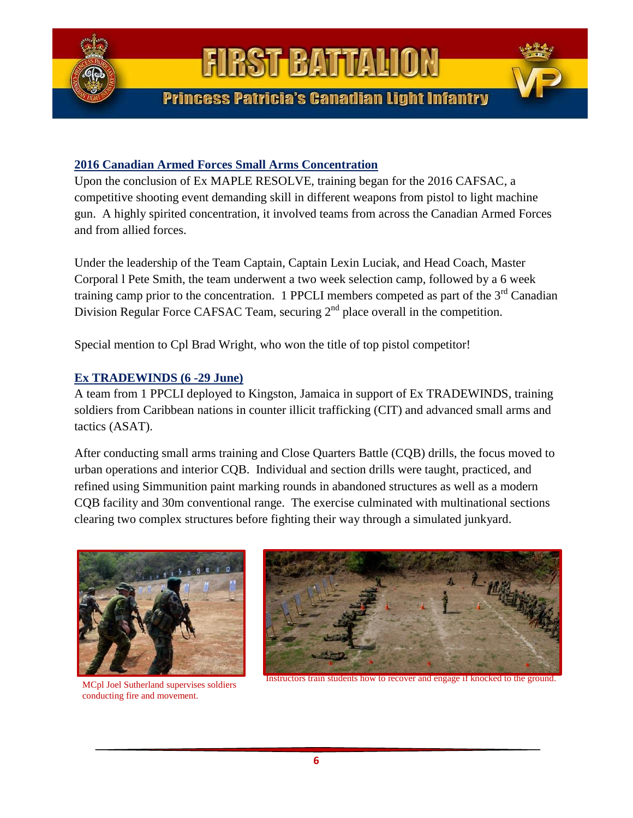

### **2016 Canadian Armed Forces Small Arms Concentration**

Upon the conclusion of Ex MAPLE RESOLVE, training began for the 2016 CAFSAC, a competitive shooting event demanding skill in different weapons from pistol to light machine gun. A highly spirited concentration, it involved teams from across the Canadian Armed Forces and from allied forces.

Under the leadership of the Team Captain, Captain Lexin Luciak, and Head Coach, Master Corporal l Pete Smith, the team underwent a two week selection camp, followed by a 6 week training camp prior to the concentration. 1 PPCLI members competed as part of the  $3<sup>rd</sup>$  Canadian Division Regular Force CAFSAC Team, securing 2<sup>nd</sup> place overall in the competition.

Special mention to Cpl Brad Wright, who won the title of top pistol competitor!

### **Ex TRADEWINDS (6 -29 June)**

A team from 1 PPCLI deployed to Kingston, Jamaica in support of Ex TRADEWINDS, training soldiers from Caribbean nations in counter illicit trafficking (CIT) and advanced small arms and tactics (ASAT).

After conducting small arms training and Close Quarters Battle (CQB) drills, the focus moved to urban operations and interior CQB. Individual and section drills were taught, practiced, and refined using Simmunition paint marking rounds in abandoned structures as well as a modern CQB facility and 30m conventional range. The exercise culminated with multinational sections clearing two complex structures before fighting their way through a simulated junkyard.



MCpl Joel Sutherland supervises soldiers conducting fire and movement.



Instructors train students how to recover and engage if knocked to the ground.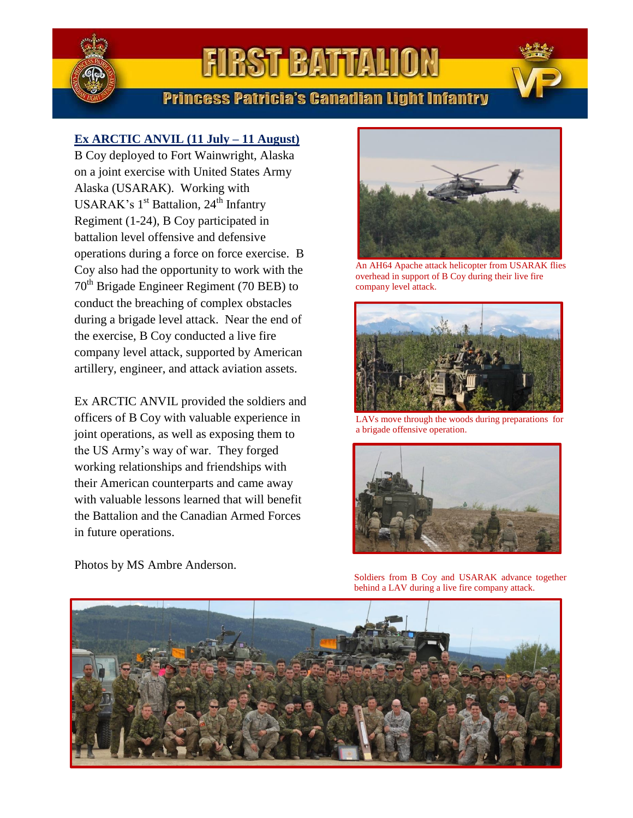

### **Princess Patricia's Canadian Light Infantry**

### **Ex ARCTIC ANVIL (11 July – 11 August)**

B Coy deployed to Fort Wainwright, Alaska on a joint exercise with United States Army Alaska (USARAK). Working with USARAK's 1<sup>st</sup> Battalion, 24<sup>th</sup> Infantry Regiment (1-24), B Coy participated in battalion level offensive and defensive operations during a force on force exercise. B Coy also had the opportunity to work with the  $70<sup>th</sup>$  Brigade Engineer Regiment (70 BEB) to conduct the breaching of complex obstacles during a brigade level attack. Near the end of the exercise, B Coy conducted a live fire company level attack, supported by American artillery, engineer, and attack aviation assets.

Ex ARCTIC ANVIL provided the soldiers and officers of B Coy with valuable experience in joint operations, as well as exposing them to the US Army's way of war. They forged working relationships and friendships with their American counterparts and came away with valuable lessons learned that will benefit the Battalion and the Canadian Armed Forces in future operations.

Photos by MS Ambre Anderson.



An AH64 Apache attack helicopter from USARAK flies overhead in support of B Coy during their live fire company level attack.



LAVs move through the woods during preparations for a brigade offensive operation.



Soldiers from B Coy and USARAK advance together behind a LAV during a live fire company attack.

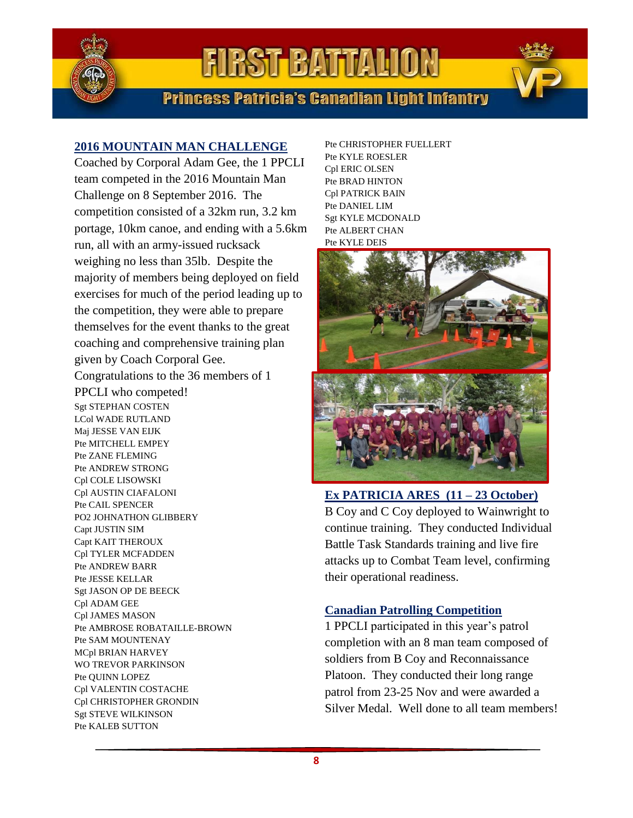

**Princess Patricia's Canadian Light Infantry** 

### **2016 MOUNTAIN MAN CHALLENGE**

Coached by Corporal Adam Gee, the 1 PPCLI team competed in the 2016 Mountain Man Challenge on 8 September 2016. The competition consisted of a 32km run, 3.2 km portage, 10km canoe, and ending with a 5.6km run, all with an army-issued rucksack weighing no less than 35lb. Despite the majority of members being deployed on field exercises for much of the period leading up to the competition, they were able to prepare themselves for the event thanks to the great coaching and comprehensive training plan given by Coach Corporal Gee. Congratulations to the 36 members of 1 PPCLI who competed! Sgt STEPHAN COSTEN LCol WADE RUTLAND Maj JESSE VAN EIJK Pte MITCHELL EMPEY Pte ZANE FLEMING Pte ANDREW STRONG Cpl COLE LISOWSKI Cpl AUSTIN CIAFALONI Pte CAIL SPENCER PO2 JOHNATHON GLIBBERY Capt JUSTIN SIM Capt KAIT THEROUX Cpl TYLER MCFADDEN Pte ANDREW BARR Pte JESSE KELLAR Sgt JASON OP DE BEECK Cpl ADAM GEE Cpl JAMES MASON Pte AMBROSE ROBATAILLE-BROWN Pte SAM MOUNTENAY MCpl BRIAN HARVEY WO TREVOR PARKINSON Pte QUINN LOPEZ Cpl VALENTIN COSTACHE Cpl CHRISTOPHER GRONDIN Sgt STEVE WILKINSON Pte KALEB SUTTON

Pte CHRISTOPHER FUELLERT Pte KYLE ROESLER Cpl ERIC OLSEN Pte BRAD HINTON Cpl PATRICK BAIN Pte DANIEL LIM Sgt KYLE MCDONALD Pte ALBERT CHAN Pte KYLE DEIS



**Ex PATRICIA ARES (11 – 23 October)** B Coy and C Coy deployed to Wainwright to continue training. They conducted Individual Battle Task Standards training and live fire attacks up to Combat Team level, confirming their operational readiness.

#### **Canadian Patrolling Competition**

1 PPCLI participated in this year's patrol completion with an 8 man team composed of soldiers from B Coy and Reconnaissance Platoon. They conducted their long range patrol from 23-25 Nov and were awarded a Silver Medal. Well done to all team members!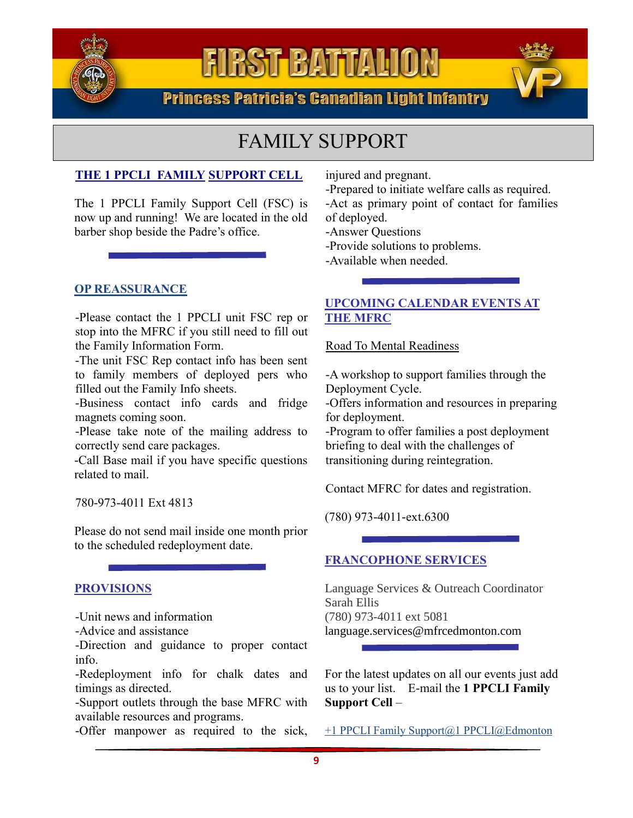

**Princess Patricia's Canadian Light Infantry** 

### FAMILY SUPPORT

### **THE 1 PPCLI FAMILY SUPPORT CELL**

The 1 PPCLI Family Support Cell (FSC) is now up and running! We are located in the old barber shop beside the Padre's office.

#### **OP REASSURANCE**

-Please contact the 1 PPCLI unit FSC rep or stop into the MFRC if you still need to fill out the Family Information Form.

-The unit FSC Rep contact info has been sent to family members of deployed pers who filled out the Family Info sheets.

-Business contact info cards and fridge magnets coming soon.

-Please take note of the mailing address to correctly send care packages.

-Call Base mail if you have specific questions related to mail.

780-973-4011 Ext 4813

Please do not send mail inside one month prior to the scheduled redeployment date.

#### **PROVISIONS**

-Unit news and information

-Advice and assistance

-Direction and guidance to proper contact info.

-Redeployment info for chalk dates and timings as directed.

-Support outlets through the base MFRC with available resources and programs.

-Offer manpower as required to the sick,

injured and pregnant.

-Prepared to initiate welfare calls as required.

-Act as primary point of contact for families of deployed.

-Answer Questions

-Provide solutions to problems.

-Available when needed.

### **UPCOMING CALENDAR EVENTS AT THE MFRC**

Road To Mental Readiness

-A workshop to support families through the Deployment Cycle.

-Offers information and resources in preparing for deployment.

-Program to offer families a post deployment briefing to deal with the challenges of transitioning during reintegration.

Contact MFRC for dates and registration.

(780) 973-4011-ext.6300

#### **FRANCOPHONE SERVICES**

Language Services & Outreach Coordinator Sarah Ellis (780) 973-4011 ext 5081 [language.services@mfrcedmonton.com](mailto:language.services@mfrcedmonton.com)

For the latest updates on all our events just add us to your list. E-mail the **1 PPCLI Family Support Cell** –

+1 PPCLI Family Support@1 PPCLI@Edmonton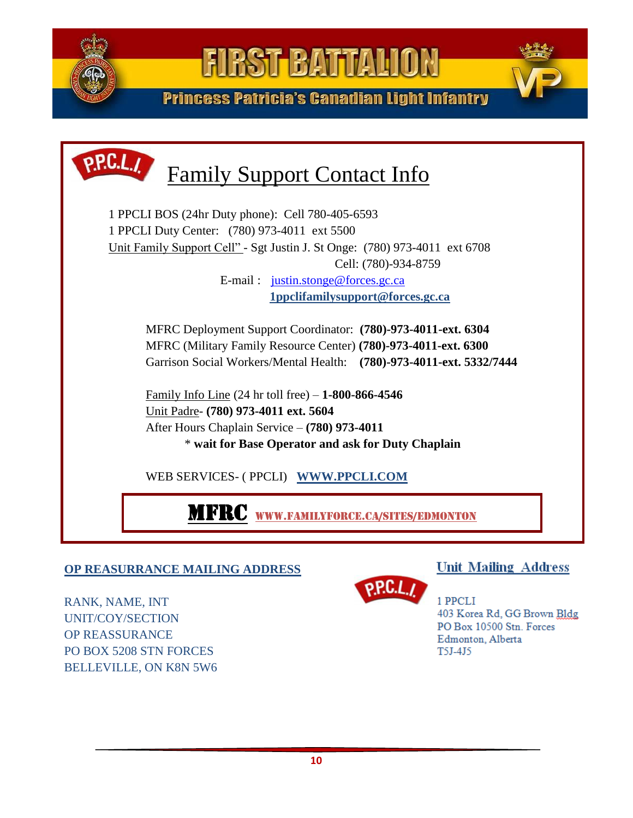

**Princess Patricia's Canadian Light Infantry** 



#### Military Family Resource Centre (MFRC Edmonton) – (780) 973-4011 ext 6300 **OP REASURRANCE MAILING ADDRESS**

RANK, NAME, INT UNIT/COY/SECTION OP REASSURANCE PO BOX 5208 STN FORCES BELLEVILLE, ON K8N 5W6



1 PPCLI 403 Korea Rd, GG Brown Bldg PO Box 10500 Stn. Forces Edmonton, Alberta T5J-4J5